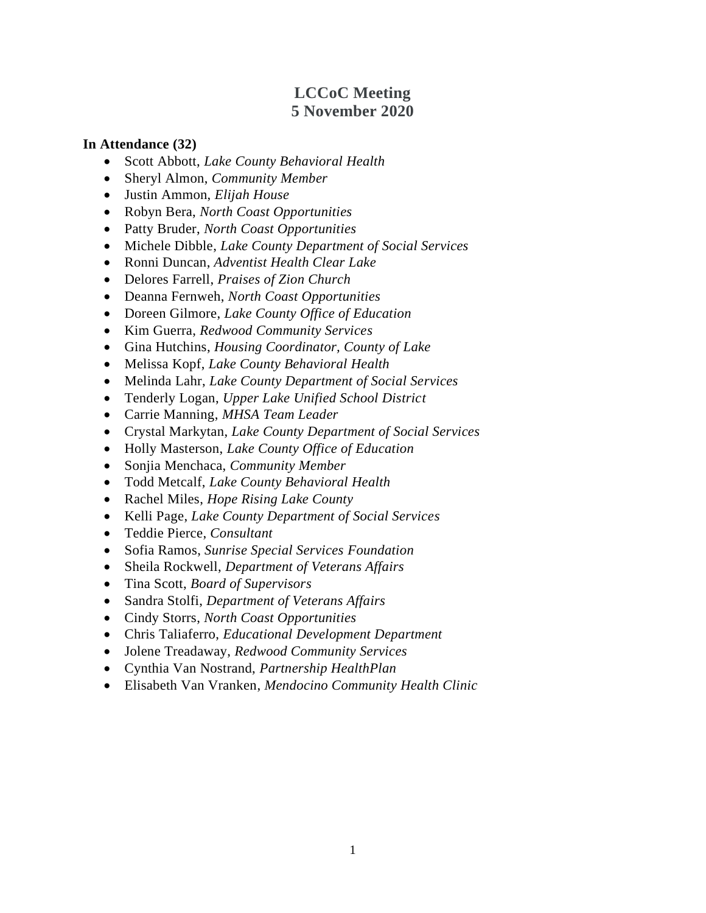# **LCCoC Meeting 5 November 2020**

### **In Attendance (32)**

- Scott Abbott, *Lake County Behavioral Health*
- Sheryl Almon, *Community Member*
- Justin Ammon, *Elijah House*
- Robyn Bera, *North Coast Opportunities*
- Patty Bruder, *North Coast Opportunities*
- Michele Dibble, *Lake County Department of Social Services*
- Ronni Duncan, *Adventist Health Clear Lake*
- Delores Farrell, *Praises of Zion Church*
- Deanna Fernweh, *North Coast Opportunities*
- Doreen Gilmore, *Lake County Office of Education*
- Kim Guerra, *Redwood Community Services*
- Gina Hutchins, *Housing Coordinator, County of Lake*
- Melissa Kopf, *Lake County Behavioral Health*
- Melinda Lahr, *Lake County Department of Social Services*
- Tenderly Logan, *Upper Lake Unified School District*
- Carrie Manning, *MHSA Team Leader*
- Crystal Markytan, *Lake County Department of Social Services*
- Holly Masterson, *Lake County Office of Education*
- Sonjia Menchaca, *Community Member*
- Todd Metcalf, *Lake County Behavioral Health*
- Rachel Miles, *Hope Rising Lake County*
- Kelli Page, *Lake County Department of Social Services*
- Teddie Pierce, *Consultant*
- Sofia Ramos, *Sunrise Special Services Foundation*
- Sheila Rockwell, *Department of Veterans Affairs*
- Tina Scott, *Board of Supervisors*
- Sandra Stolfi, *Department of Veterans Affairs*
- Cindy Storrs, *North Coast Opportunities*
- Chris Taliaferro, *Educational Development Department*
- Jolene Treadaway, *Redwood Community Services*
- Cynthia Van Nostrand, *Partnership HealthPlan*
- Elisabeth Van Vranken, *Mendocino Community Health Clinic*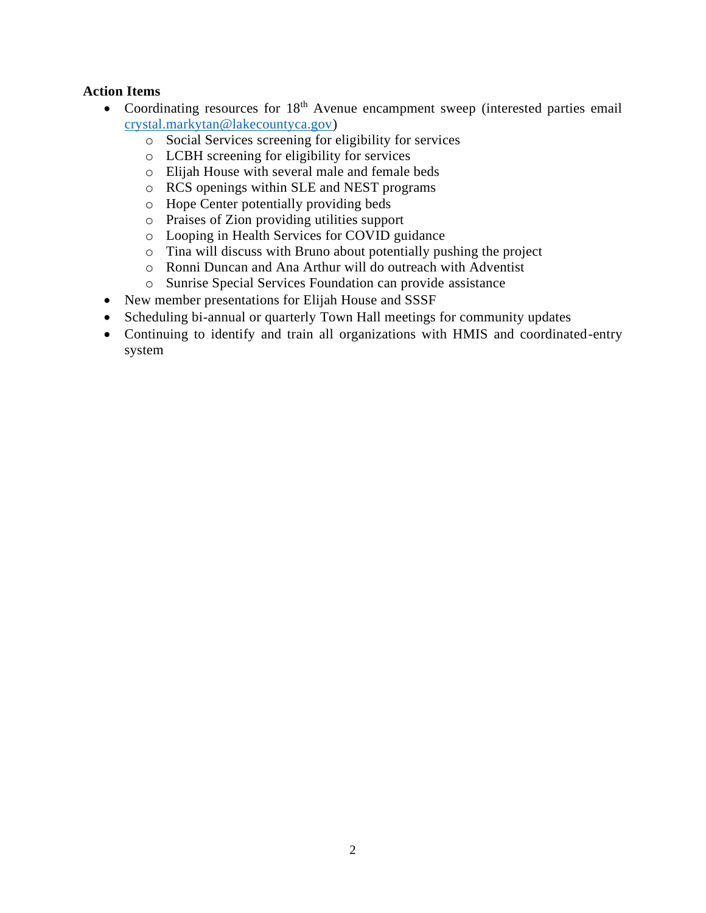### **Action Items**

- Coordinating resources for  $18<sup>th</sup>$  Avenue encampment sweep (interested parties email [crystal.markytan@lakecountyca.gov\)](mailto:crystal.markytan@lakecountyca.gov)
	- o Social Services screening for eligibility for services
	- o LCBH screening for eligibility for services
	- o Elijah House with several male and female beds
	- o RCS openings within SLE and NEST programs
	- o Hope Center potentially providing beds
	- o Praises of Zion providing utilities support
	- o Looping in Health Services for COVID guidance
	- o Tina will discuss with Bruno about potentially pushing the project
	- o Ronni Duncan and Ana Arthur will do outreach with Adventist
	- o Sunrise Special Services Foundation can provide assistance
- New member presentations for Elijah House and SSSF
- Scheduling bi-annual or quarterly Town Hall meetings for community updates
- Continuing to identify and train all organizations with HMIS and coordinated-entry system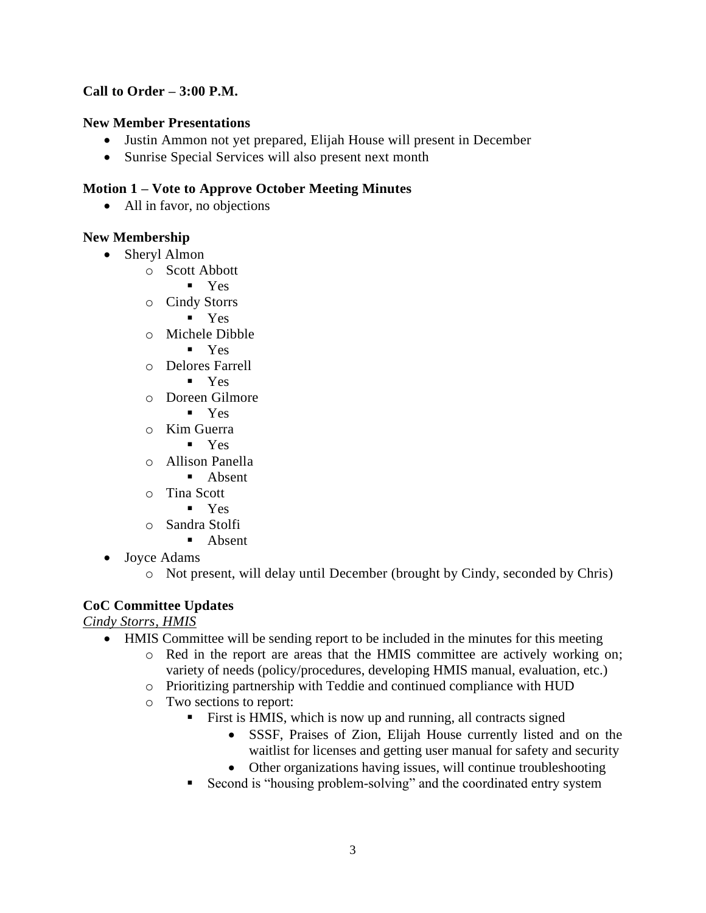## **Call to Order – 3:00 P.M.**

### **New Member Presentations**

- Justin Ammon not yet prepared, Elijah House will present in December
- Sunrise Special Services will also present next month

### **Motion 1 – Vote to Approve October Meeting Minutes**

• All in favor, no objections

### **New Membership**

- Sheryl Almon
	- o Scott Abbott
		- Yes
	- o Cindy Storrs
		- Yes
	- o Michele Dibble
		- Yes
	- o Delores Farrell
		- Yes
	- o Doreen Gilmore
		- Yes
	- o Kim Guerra
		- Yes
	- o Allison Panella
		- Absent
	- o Tina Scott
		- Yes
	- o Sandra Stolfi
		- Absent
- Joyce Adams
	- o Not present, will delay until December (brought by Cindy, seconded by Chris)

## **CoC Committee Updates**

*Cindy Storrs, HMIS* 

- HMIS Committee will be sending report to be included in the minutes for this meeting
	- o Red in the report are areas that the HMIS committee are actively working on; variety of needs (policy/procedures, developing HMIS manual, evaluation, etc.)
	- o Prioritizing partnership with Teddie and continued compliance with HUD
	- o Two sections to report:
		- First is HMIS, which is now up and running, all contracts signed
			- SSSF, Praises of Zion, Elijah House currently listed and on the waitlist for licenses and getting user manual for safety and security
			- Other organizations having issues, will continue troubleshooting
		- Second is "housing problem-solving" and the coordinated entry system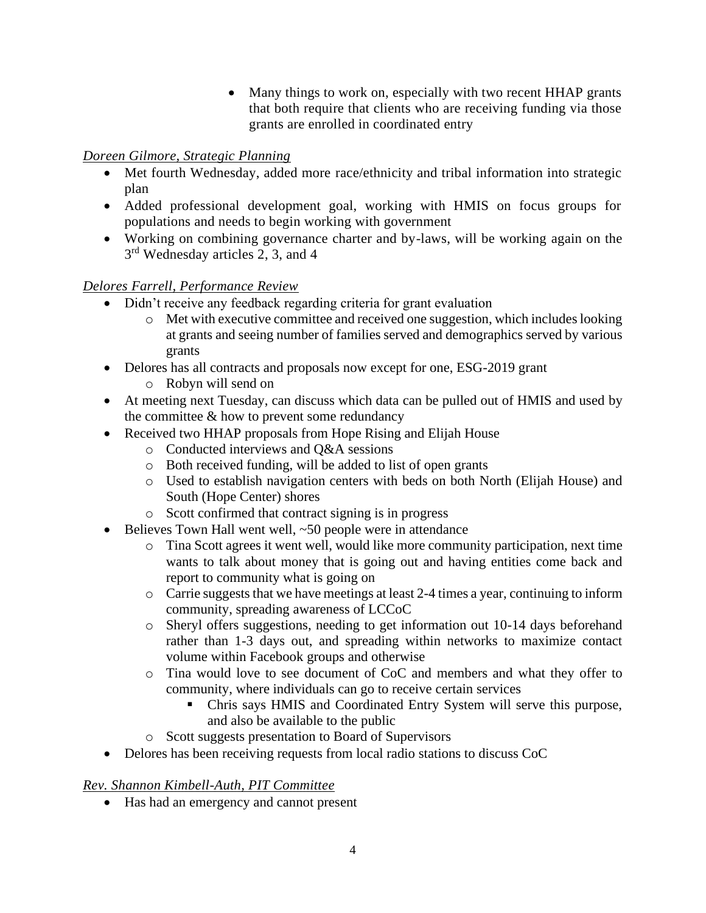• Many things to work on, especially with two recent HHAP grants that both require that clients who are receiving funding via those grants are enrolled in coordinated entry

## *Doreen Gilmore, Strategic Planning*

- Met fourth Wednesday, added more race/ethnicity and tribal information into strategic plan
- Added professional development goal, working with HMIS on focus groups for populations and needs to begin working with government
- Working on combining governance charter and by-laws, will be working again on the 3<sup>rd</sup> Wednesday articles 2, 3, and 4

## *Delores Farrell, Performance Review*

- Didn't receive any feedback regarding criteria for grant evaluation
	- o Met with executive committee and received one suggestion, which includes looking at grants and seeing number of families served and demographics served by various grants
- Delores has all contracts and proposals now except for one, ESG-2019 grant
	- o Robyn will send on
- At meeting next Tuesday, can discuss which data can be pulled out of HMIS and used by the committee & how to prevent some redundancy
- Received two HHAP proposals from Hope Rising and Elijah House
	- o Conducted interviews and Q&A sessions
	- o Both received funding, will be added to list of open grants
	- o Used to establish navigation centers with beds on both North (Elijah House) and South (Hope Center) shores
	- o Scott confirmed that contract signing is in progress
- Believes Town Hall went well,  $\sim 50$  people were in attendance
	- o Tina Scott agrees it went well, would like more community participation, next time wants to talk about money that is going out and having entities come back and report to community what is going on
	- o Carrie suggests that we have meetings at least 2-4 times a year, continuing to inform community, spreading awareness of LCCoC
	- o Sheryl offers suggestions, needing to get information out 10-14 days beforehand rather than 1-3 days out, and spreading within networks to maximize contact volume within Facebook groups and otherwise
	- o Tina would love to see document of CoC and members and what they offer to community, where individuals can go to receive certain services
		- Chris says HMIS and Coordinated Entry System will serve this purpose, and also be available to the public
	- o Scott suggests presentation to Board of Supervisors
- Delores has been receiving requests from local radio stations to discuss CoC

## *Rev. Shannon Kimbell-Auth, PIT Committee*

• Has had an emergency and cannot present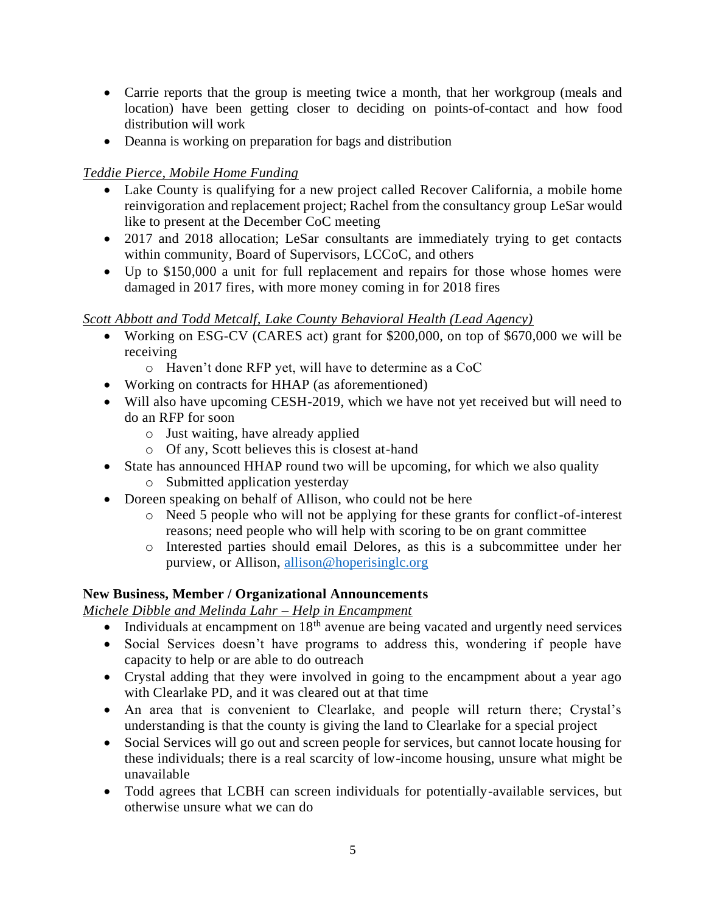- Carrie reports that the group is meeting twice a month, that her workgroup (meals and location) have been getting closer to deciding on points-of-contact and how food distribution will work
- Deanna is working on preparation for bags and distribution

## *Teddie Pierce, Mobile Home Funding*

- Lake County is qualifying for a new project called Recover California, a mobile home reinvigoration and replacement project; Rachel from the consultancy group LeSar would like to present at the December CoC meeting
- 2017 and 2018 allocation; LeSar consultants are immediately trying to get contacts within community, Board of Supervisors, LCCoC, and others
- Up to \$150,000 a unit for full replacement and repairs for those whose homes were damaged in 2017 fires, with more money coming in for 2018 fires

## *Scott Abbott and Todd Metcalf, Lake County Behavioral Health (Lead Agency)*

- Working on ESG-CV (CARES act) grant for \$200,000, on top of \$670,000 we will be receiving
	- o Haven't done RFP yet, will have to determine as a CoC
- Working on contracts for HHAP (as aforementioned)
- Will also have upcoming CESH-2019, which we have not yet received but will need to do an RFP for soon
	- o Just waiting, have already applied
	- o Of any, Scott believes this is closest at-hand
- State has announced HHAP round two will be upcoming, for which we also quality
	- o Submitted application yesterday
- Doreen speaking on behalf of Allison, who could not be here
	- o Need 5 people who will not be applying for these grants for conflict-of-interest reasons; need people who will help with scoring to be on grant committee
	- o Interested parties should email Delores, as this is a subcommittee under her purview, or Allison, [allison@hoperisinglc.org](mailto:allison@hoperisinglc.org)

### **New Business, Member / Organizational Announcements**

### *Michele Dibble and Melinda Lahr – Help in Encampment*

- Individuals at encampment on  $18<sup>th</sup>$  avenue are being vacated and urgently need services
- Social Services doesn't have programs to address this, wondering if people have capacity to help or are able to do outreach
- Crystal adding that they were involved in going to the encampment about a year ago with Clearlake PD, and it was cleared out at that time
- An area that is convenient to Clearlake, and people will return there; Crystal's understanding is that the county is giving the land to Clearlake for a special project
- Social Services will go out and screen people for services, but cannot locate housing for these individuals; there is a real scarcity of low-income housing, unsure what might be unavailable
- Todd agrees that LCBH can screen individuals for potentially-available services, but otherwise unsure what we can do